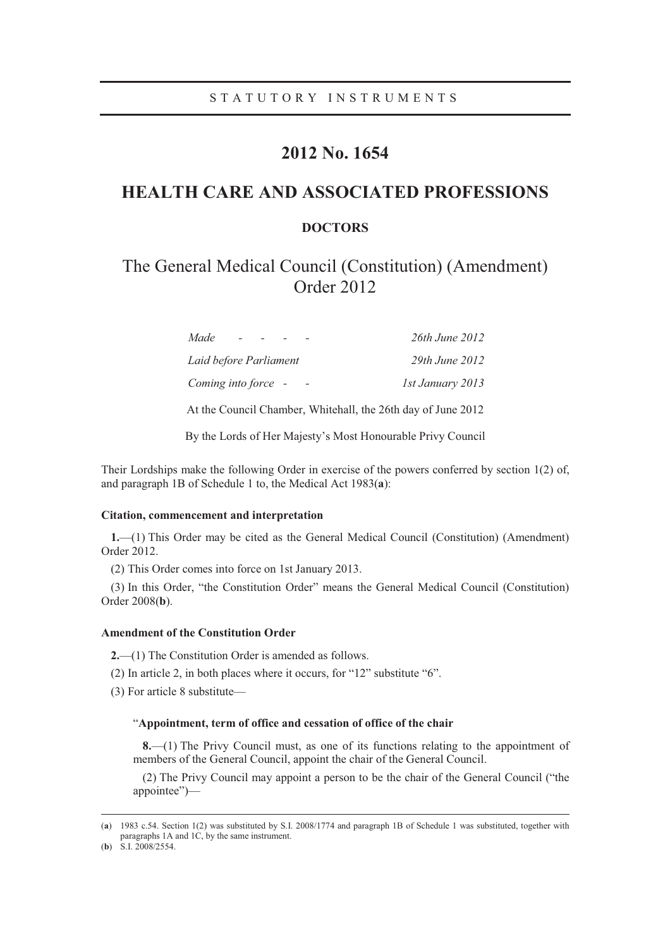### **2012 No. 1654**

## **HEALTH CARE AND ASSOCIATED PROFESSIONS**

### **DOCTORS**

# The General Medical Council (Constitution) (Amendment) Order 2012

| Made<br>$\sim$ $\sim$  | 26th June 2012     |
|------------------------|--------------------|
| Laid before Parliament | $29th$ June $2012$ |
| Coming into force -    | 1st January 2013   |

At the Council Chamber, Whitehall, the 26th day of June 2012

By the Lords of Her Majesty's Most Honourable Privy Council

Their Lordships make the following Order in exercise of the powers conferred by section 1(2) of, and paragraph 1B of Schedule 1 to, the Medical Act 1983(**a**):

#### **Citation, commencement and interpretation**

**1.**—(1) This Order may be cited as the General Medical Council (Constitution) (Amendment) Order 2012.

(2) This Order comes into force on 1st January 2013.

(3) In this Order, "the Constitution Order" means the General Medical Council (Constitution) Order 2008(**b**).

#### **Amendment of the Constitution Order**

**2.**—(1) The Constitution Order is amended as follows.

(2) In article 2, in both places where it occurs, for "12" substitute "6".

(3) For article 8 substitute—

#### "**Appointment, term of office and cessation of office of the chair**

**8.**—(1) The Privy Council must, as one of its functions relating to the appointment of members of the General Council, appoint the chair of the General Council.

(2) The Privy Council may appoint a person to be the chair of the General Council ("the appointee")—

 <sup>(</sup>**<sup>a</sup>**) 1983 c.54. Section 1(2) was substituted by S.I. 2008/1774 and paragraph 1B of Schedule 1 was substituted, together with paragraphs 1A and 1C, by the same instrument.

<sup>(</sup>**b**) S.I. 2008/2554.